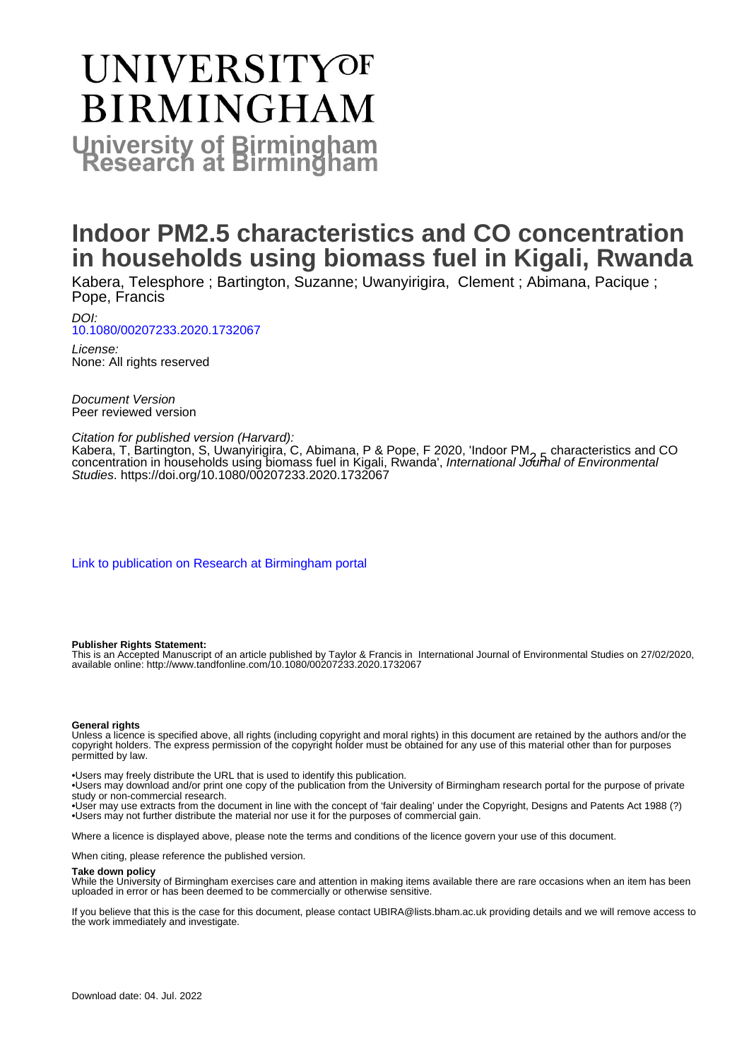# UNIVERSITYOF **BIRMINGHAM University of Birmingham**

## **Indoor PM2.5 characteristics and CO concentration in households using biomass fuel in Kigali, Rwanda**

Kabera, Telesphore ; Bartington, Suzanne; Uwanyirigira, Clement ; Abimana, Pacique ; Pope, Francis

DOI: [10.1080/00207233.2020.1732067](https://doi.org/10.1080/00207233.2020.1732067)

License: None: All rights reserved

Document Version Peer reviewed version

#### Citation for published version (Harvard):

Kabera, T, Bartington, S, Uwanyirigira, C, Abimana, P & Pope, F 2020, 'Indoor PM<sub>2.5</sub> characteristics and CO concentration in households using biomass fuel in Kigali, Rwanda', International Journal of Environmental Studies. <https://doi.org/10.1080/00207233.2020.1732067>

[Link to publication on Research at Birmingham portal](https://birmingham.elsevierpure.com/en/publications/c394c7e4-95e8-4b25-b077-d7e7a37a1e16)

#### **Publisher Rights Statement:**

This is an Accepted Manuscript of an article published by Taylor & Francis in International Journal of Environmental Studies on 27/02/2020, available online: http://www.tandfonline.com/10.1080/00207233.2020.1732067

#### **General rights**

Unless a licence is specified above, all rights (including copyright and moral rights) in this document are retained by the authors and/or the copyright holders. The express permission of the copyright holder must be obtained for any use of this material other than for purposes permitted by law.

• Users may freely distribute the URL that is used to identify this publication.

• Users may download and/or print one copy of the publication from the University of Birmingham research portal for the purpose of private study or non-commercial research.

• User may use extracts from the document in line with the concept of 'fair dealing' under the Copyright, Designs and Patents Act 1988 (?) • Users may not further distribute the material nor use it for the purposes of commercial gain.

Where a licence is displayed above, please note the terms and conditions of the licence govern your use of this document.

When citing, please reference the published version.

#### **Take down policy**

While the University of Birmingham exercises care and attention in making items available there are rare occasions when an item has been uploaded in error or has been deemed to be commercially or otherwise sensitive.

If you believe that this is the case for this document, please contact UBIRA@lists.bham.ac.uk providing details and we will remove access to the work immediately and investigate.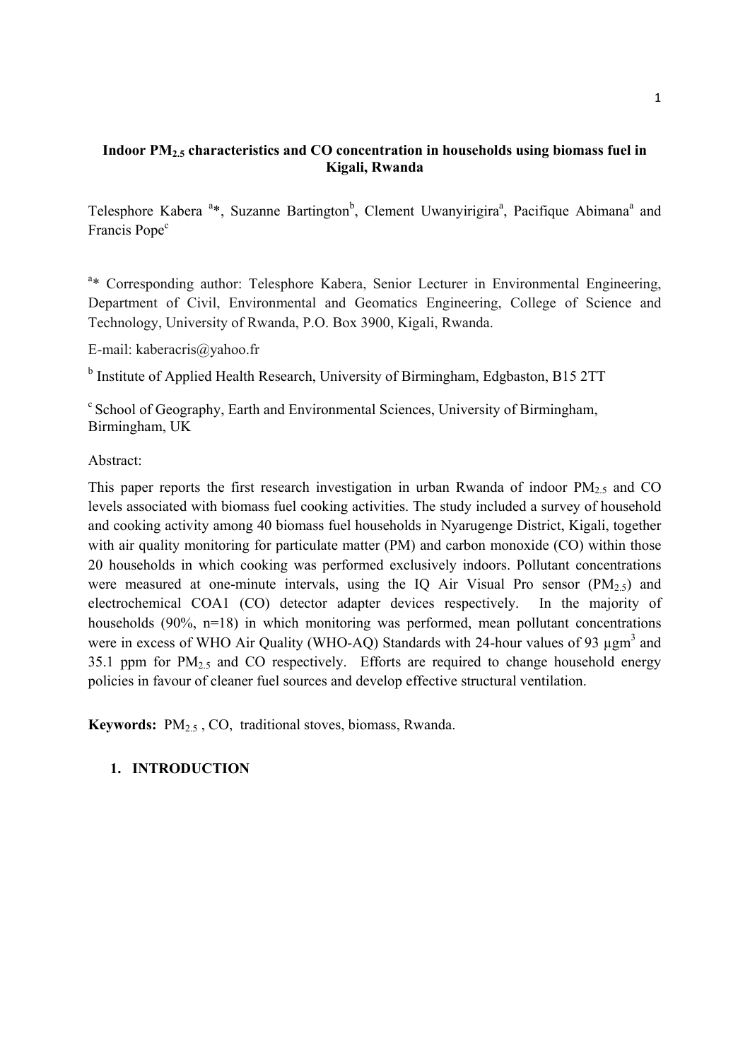## **Indoor PM2.5 characteristics and CO concentration in households using biomass fuel in Kigali, Rwanda**

Telesphore Kabera<sup>a\*</sup>, Suzanne Bartington<sup>b</sup>, Clement Uwanyirigira<sup>a</sup>, Pacifique Abimana<sup>a</sup> and Francis Pope<sup>c</sup>

<sup>a\*</sup> Corresponding author: Telesphore Kabera, Senior Lecturer in Environmental Engineering, Department of Civil, Environmental and Geomatics Engineering, College of Science and Technology, University of Rwanda, P.O. Box 3900, Kigali, Rwanda.

E-mail: kaberacris@yahoo.fr

<sup>b</sup> Institute of Applied Health Research, University of Birmingham, Edgbaston, B15 2TT

<sup>c</sup> School of Geography, Earth and Environmental Sciences, University of Birmingham, Birmingham, UK

Abstract:

This paper reports the first research investigation in urban Rwanda of indoor  $PM_{2.5}$  and CO levels associated with biomass fuel cooking activities. The study included a survey of household and cooking activity among 40 biomass fuel households in Nyarugenge District, Kigali, together with air quality monitoring for particulate matter (PM) and carbon monoxide (CO) within those 20 households in which cooking was performed exclusively indoors. Pollutant concentrations were measured at one-minute intervals, using the IQ Air Visual Pro sensor  $(PM<sub>2.5</sub>)$  and electrochemical COA1 (CO) detector adapter devices respectively. In the majority of households (90%, n=18) in which monitoring was performed, mean pollutant concentrations were in excess of WHO Air Quality (WHO-AQ) Standards with 24-hour values of 93 ugm<sup>3</sup> and 35.1 ppm for  $PM_{2.5}$  and CO respectively. Efforts are required to change household energy policies in favour of cleaner fuel sources and develop effective structural ventilation.

**Keywords:** PM<sub>2.5</sub>, CO, traditional stoves, biomass, Rwanda.

## **1. INTRODUCTION**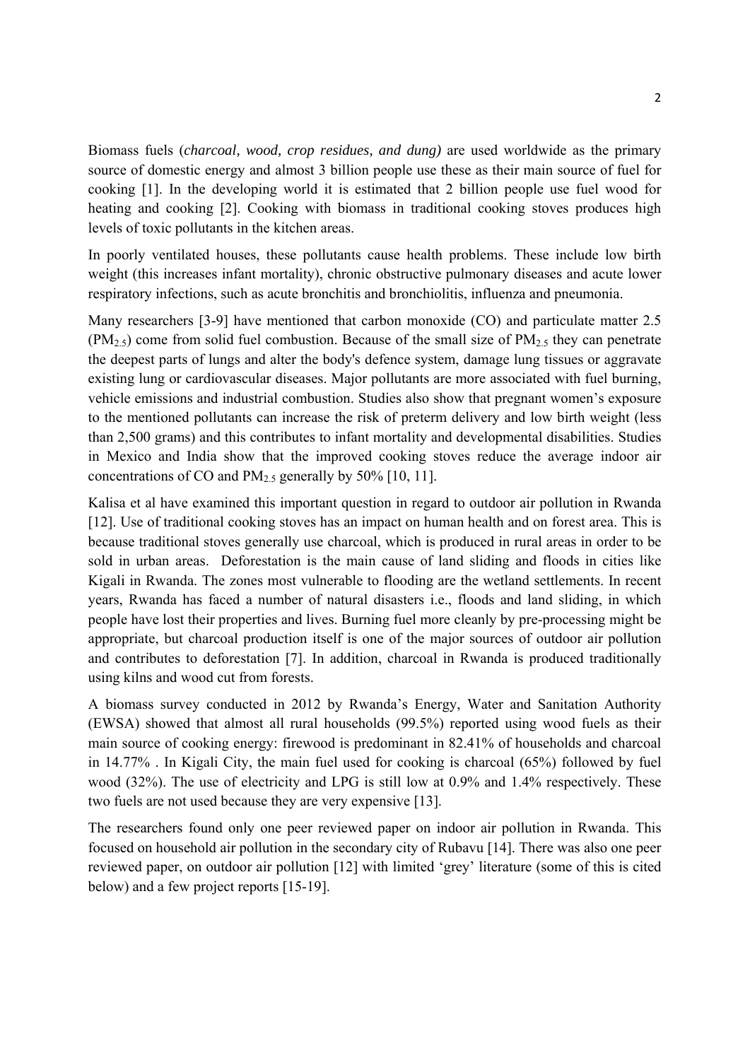Biomass fuels (*charcoal, wood, crop residues, and dung)* are used worldwide as the primary source of domestic energy and almost 3 billion people use these as their main source of fuel for cooking [1]. In the developing world it is estimated that 2 billion people use fuel wood for heating and cooking [2]. Cooking with biomass in traditional cooking stoves produces high levels of toxic pollutants in the kitchen areas.

In poorly ventilated houses, these pollutants cause health problems. These include low birth weight (this increases infant mortality), chronic obstructive pulmonary diseases and acute lower respiratory infections, such as acute bronchitis and bronchiolitis, influenza and pneumonia.

Many researchers [3-9] have mentioned that carbon monoxide (CO) and particulate matter 2.5  $(PM_{2.5})$  come from solid fuel combustion. Because of the small size of  $PM_{2.5}$  they can penetrate the deepest parts of lungs and alter the body's defence system, damage lung tissues or aggravate existing lung or cardiovascular diseases. Major pollutants are more associated with fuel burning, vehicle emissions and industrial combustion. Studies also show that pregnant women's exposure to the mentioned pollutants can increase the risk of preterm delivery and low birth weight (less than 2,500 grams) and this contributes to infant mortality and developmental disabilities. Studies in Mexico and India show that the improved cooking stoves reduce the average indoor air concentrations of CO and  $PM_{2.5}$  generally by 50% [10, 11].

Kalisa et al have examined this important question in regard to outdoor air pollution in Rwanda [12]. Use of traditional cooking stoves has an impact on human health and on forest area. This is because traditional stoves generally use charcoal, which is produced in rural areas in order to be sold in urban areas. Deforestation is the main cause of land sliding and floods in cities like Kigali in Rwanda. The zones most vulnerable to flooding are the wetland settlements. In recent years, Rwanda has faced a number of natural disasters i.e., floods and land sliding, in which people have lost their properties and lives. Burning fuel more cleanly by pre-processing might be appropriate, but charcoal production itself is one of the major sources of outdoor air pollution and contributes to deforestation [7]. In addition, charcoal in Rwanda is produced traditionally using kilns and wood cut from forests.

A biomass survey conducted in 2012 by Rwanda's Energy, Water and Sanitation Authority (EWSA) showed that almost all rural households (99.5%) reported using wood fuels as their main source of cooking energy: firewood is predominant in 82.41% of households and charcoal in 14.77% . In Kigali City, the main fuel used for cooking is charcoal (65%) followed by fuel wood (32%). The use of electricity and LPG is still low at 0.9% and 1.4% respectively. These two fuels are not used because they are very expensive [13].

The researchers found only one peer reviewed paper on indoor air pollution in Rwanda. This focused on household air pollution in the secondary city of Rubavu [14]. There was also one peer reviewed paper, on outdoor air pollution [12] with limited 'grey' literature (some of this is cited below) and a few project reports [15-19].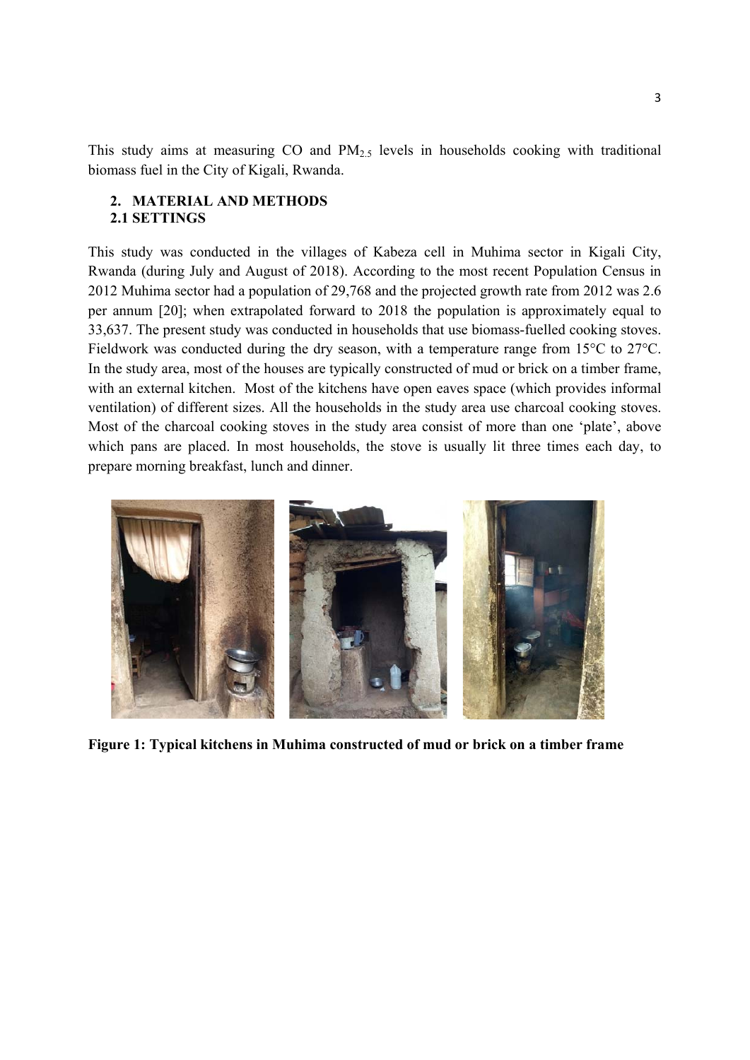This study aims at measuring CO and PM<sub>2.5</sub> levels in households cooking with traditional biomass fuel in the City of Kigali, Rwanda.

#### **2. MATERIAL AND METHODS 2.1 SETTINGS**

This study was conducted in the villages of Kabeza cell in Muhima sector in Kigali City, Rwanda (during July and August of 2018). According to the most recent Population Census in 2012 Muhima sector had a population of 29,768 and the projected growth rate from 2012 was 2.6 per annum [20]; when extrapolated forward to 2018 the population is approximately equal to 33,637. The present study was conducted in households that use biomass-fuelled cooking stoves. Fieldwork was conducted during the dry season, with a temperature range from 15°C to 27°C. In the study area, most of the houses are typically constructed of mud or brick on a timber frame, with an external kitchen. Most of the kitchens have open eaves space (which provides informal ventilation) of different sizes. All the households in the study area use charcoal cooking stoves. Most of the charcoal cooking stoves in the study area consist of more than one 'plate', above which pans are placed. In most households, the stove is usually lit three times each day, to prepare morning breakfast, lunch and dinner.



**Figure 1: Typical kitchens in Muhima constructed of mud or brick on a timber frame**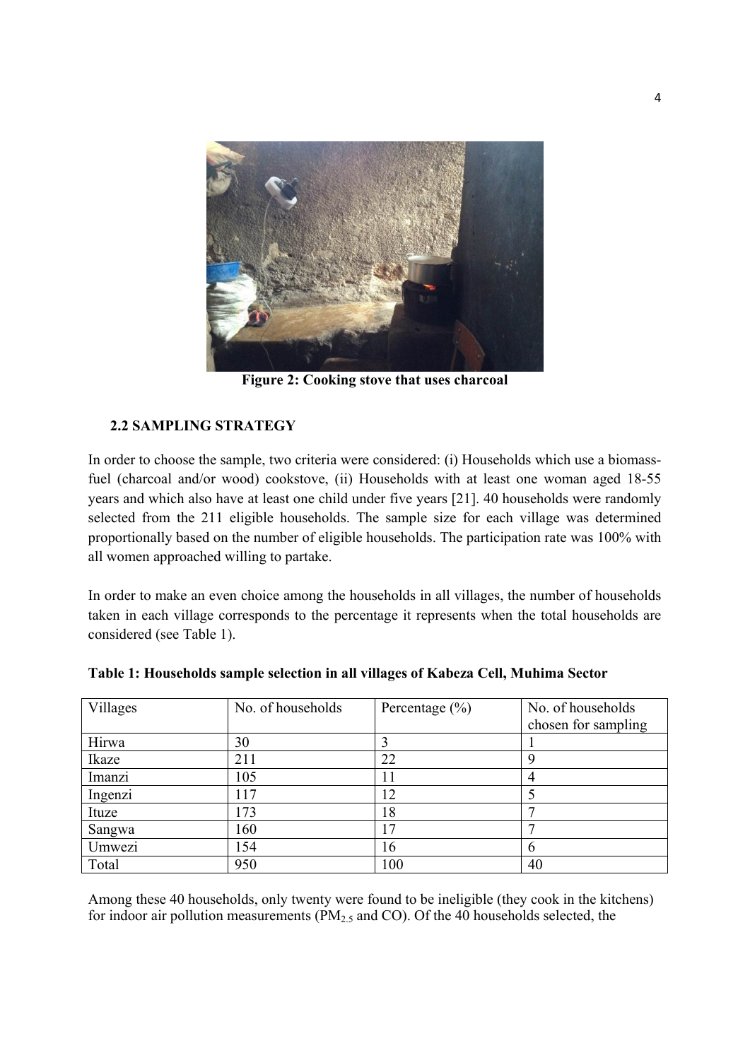

**Figure 2: Cooking stove that uses charcoal** 

## **2.2 SAMPLING STRATEGY**

In order to choose the sample, two criteria were considered: (i) Households which use a biomassfuel (charcoal and/or wood) cookstove, (ii) Households with at least one woman aged 18-55 years and which also have at least one child under five years [21]. 40 households were randomly selected from the 211 eligible households. The sample size for each village was determined proportionally based on the number of eligible households. The participation rate was 100% with all women approached willing to partake.

In order to make an even choice among the households in all villages, the number of households taken in each village corresponds to the percentage it represents when the total households are considered (see Table 1).

| Villages | No. of households | Percentage $(\% )$ | No. of households   |
|----------|-------------------|--------------------|---------------------|
|          |                   |                    | chosen for sampling |
| Hirwa    | 30                |                    |                     |
| Ikaze    | 211               | 22                 | Q                   |
| Imanzi   | 105               | 11                 | 4                   |
| Ingenzi  | 117               | 12                 |                     |
| Ituze    | 173               | 18                 |                     |
| Sangwa   | 160               | 17                 |                     |
| Umwezi   | 154               | 16                 | O                   |
| Total    | 950               | 100                | 40                  |

**Table 1: Households sample selection in all villages of Kabeza Cell, Muhima Sector** 

Among these 40 households, only twenty were found to be ineligible (they cook in the kitchens) for indoor air pollution measurements ( $PM<sub>2.5</sub>$  and CO). Of the 40 households selected, the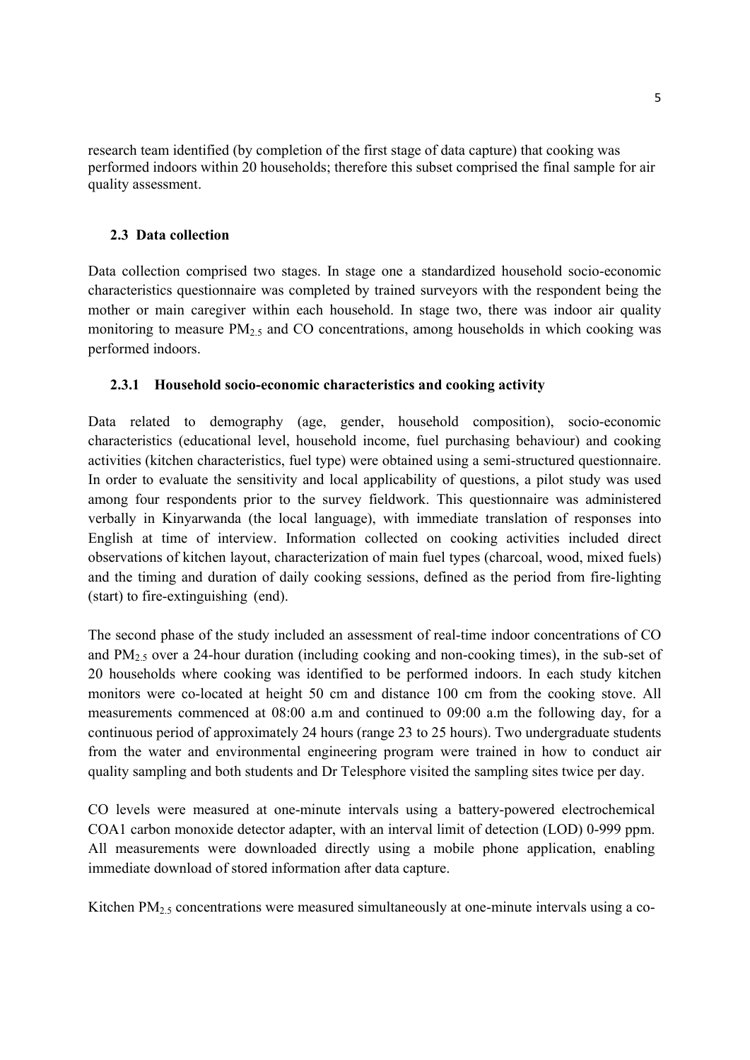research team identified (by completion of the first stage of data capture) that cooking was performed indoors within 20 households; therefore this subset comprised the final sample for air quality assessment.

#### **2.3 Data collection**

Data collection comprised two stages. In stage one a standardized household socio-economic characteristics questionnaire was completed by trained surveyors with the respondent being the mother or main caregiver within each household. In stage two, there was indoor air quality monitoring to measure  $PM<sub>2.5</sub>$  and CO concentrations, among households in which cooking was performed indoors.

#### **2.3.1 Household socio-economic characteristics and cooking activity**

Data related to demography (age, gender, household composition), socio-economic characteristics (educational level, household income, fuel purchasing behaviour) and cooking activities (kitchen characteristics, fuel type) were obtained using a semi-structured questionnaire. In order to evaluate the sensitivity and local applicability of questions, a pilot study was used among four respondents prior to the survey fieldwork. This questionnaire was administered verbally in Kinyarwanda (the local language), with immediate translation of responses into English at time of interview. Information collected on cooking activities included direct observations of kitchen layout, characterization of main fuel types (charcoal, wood, mixed fuels) and the timing and duration of daily cooking sessions, defined as the period from fire-lighting (start) to fire-extinguishing (end).

The second phase of the study included an assessment of real-time indoor concentrations of CO and  $PM_{2.5}$  over a 24-hour duration (including cooking and non-cooking times), in the sub-set of 20 households where cooking was identified to be performed indoors. In each study kitchen monitors were co-located at height 50 cm and distance 100 cm from the cooking stove. All measurements commenced at 08:00 a.m and continued to 09:00 a.m the following day, for a continuous period of approximately 24 hours (range 23 to 25 hours). Two undergraduate students from the water and environmental engineering program were trained in how to conduct air quality sampling and both students and Dr Telesphore visited the sampling sites twice per day.

CO levels were measured at one-minute intervals using a battery-powered electrochemical COA1 carbon monoxide detector adapter, with an interval limit of detection (LOD) 0-999 ppm. All measurements were downloaded directly using a mobile phone application, enabling immediate download of stored information after data capture.

Kitchen  $PM<sub>2.5</sub>$  concentrations were measured simultaneously at one-minute intervals using a co-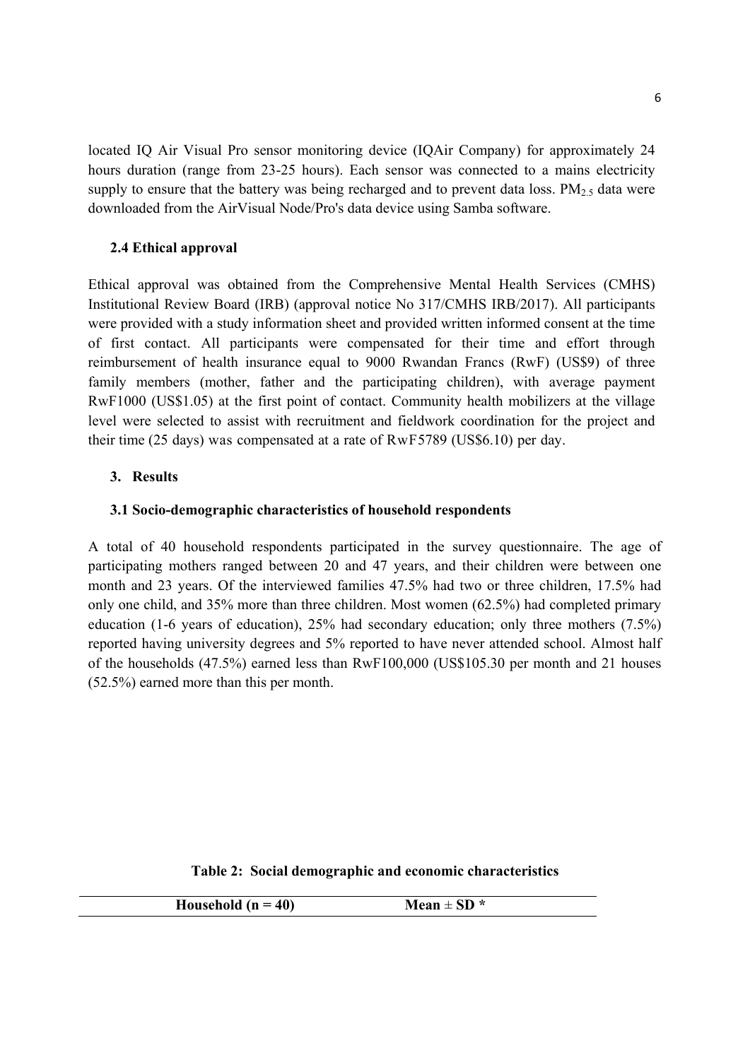located IQ Air Visual Pro sensor monitoring device (IQAir Company) for approximately 24 hours duration (range from 23-25 hours). Each sensor was connected to a mains electricity supply to ensure that the battery was being recharged and to prevent data loss.  $PM_{2.5}$  data were downloaded from the AirVisual Node/Pro's data device using Samba software.

#### **2.4 Ethical approval**

Ethical approval was obtained from the Comprehensive Mental Health Services (CMHS) Institutional Review Board (IRB) (approval notice No 317/CMHS IRB/2017). All participants were provided with a study information sheet and provided written informed consent at the time of first contact. All participants were compensated for their time and effort through reimbursement of health insurance equal to 9000 Rwandan Francs (RwF) (US\$9) of three family members (mother, father and the participating children), with average payment RwF1000 (US\$1.05) at the first point of contact. Community health mobilizers at the village level were selected to assist with recruitment and fieldwork coordination for the project and their time (25 days) was compensated at a rate of RwF5789 (US\$6.10) per day.

#### **3. Results**

#### **3.1 Socio-demographic characteristics of household respondents**

A total of 40 household respondents participated in the survey questionnaire. The age of participating mothers ranged between 20 and 47 years, and their children were between one month and 23 years. Of the interviewed families 47.5% had two or three children, 17.5% had only one child, and 35% more than three children. Most women (62.5%) had completed primary education (1-6 years of education), 25% had secondary education; only three mothers (7.5%) reported having university degrees and 5% reported to have never attended school. Almost half of the households (47.5%) earned less than RwF100,000 (US\$105.30 per month and 21 houses (52.5%) earned more than this per month.

#### **Table 2: Social demographic and economic characteristics**

| Household $(n = 40)$ | Mean $\pm$ SD $*$ |  |
|----------------------|-------------------|--|
|----------------------|-------------------|--|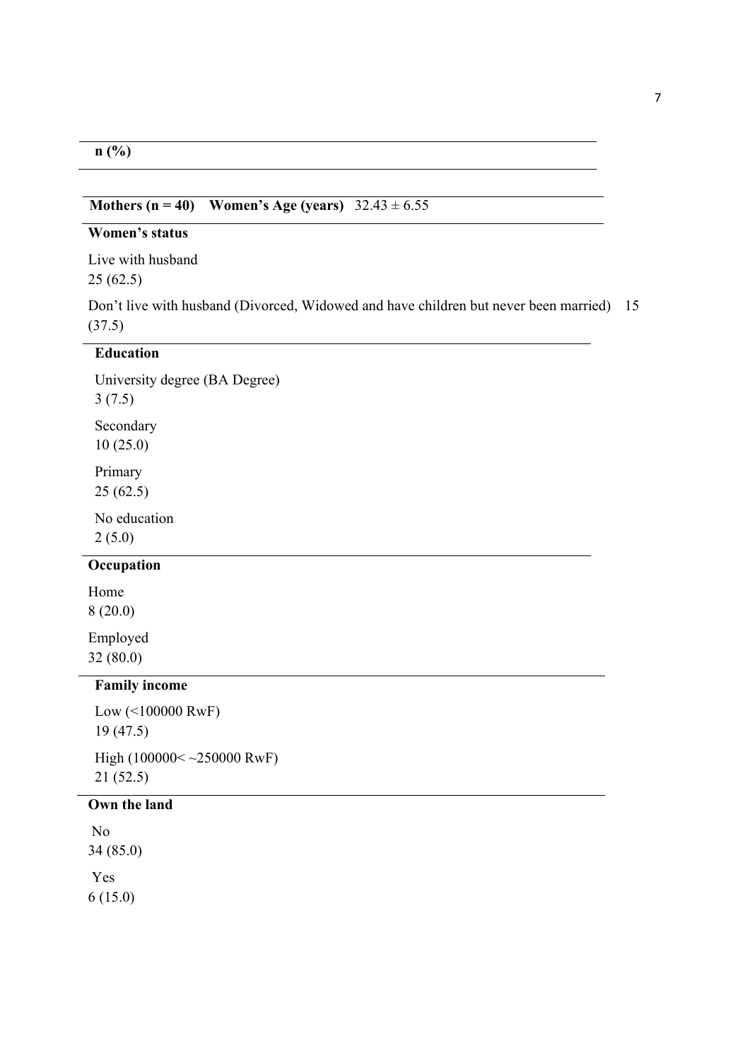## **n (%)**

## **Mothers (n = 40)** Women's Age (years)  $32.43 \pm 6.55$

## **Women's status**

Live with husband 25 (62.5)

Don't live with husband (Divorced, Widowed and have children but never been married) 15 (37.5)

## **Education**

University degree (BA Degree) 3 (7.5) Secondary

10 (25.0)

Primary 25 (62.5)

No education 2 (5.0)

## **Occupation**

Home 8 (20.0)

Employed 32 (80.0)

## **Family income**

Low (<100000 RwF) 19 (47.5) High (100000< ~250000 RwF) 21 (52.5)

## **Own the land**

 No 34 (85.0) Yes 6 (15.0)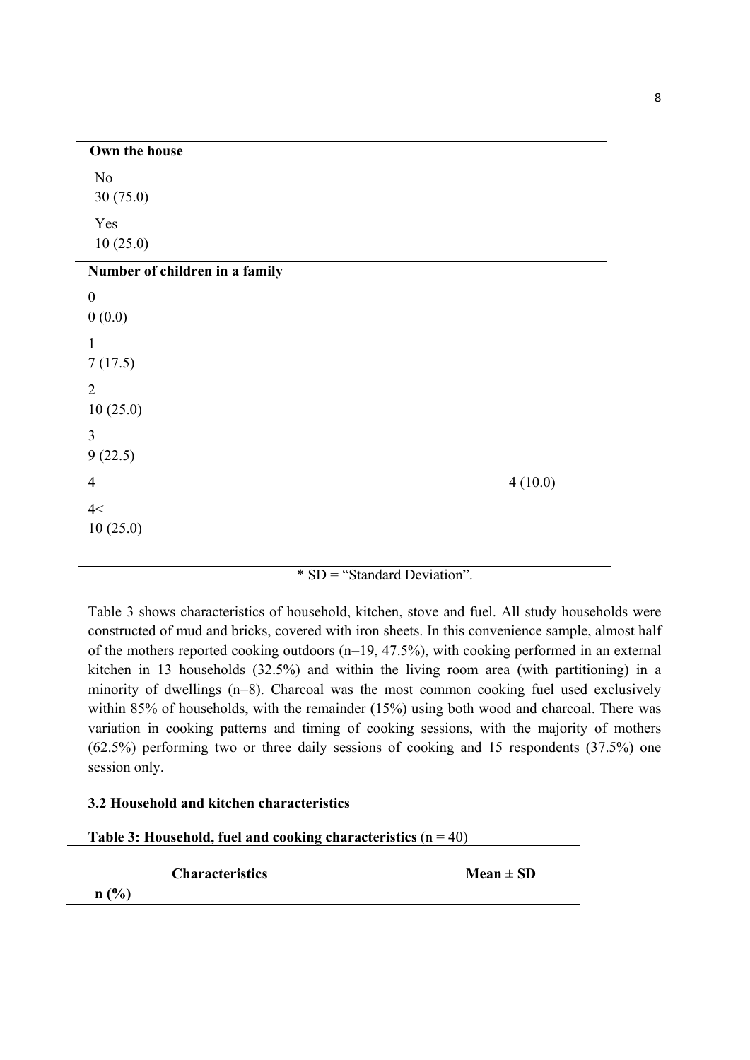| Own the house                  |         |
|--------------------------------|---------|
| N <sub>o</sub><br>30(75.0)     |         |
| Yes<br>10(25.0)                |         |
| Number of children in a family |         |
| $\boldsymbol{0}$               |         |
| 0(0.0)                         |         |
| $\mathbf{1}$                   |         |
| 7(17.5)                        |         |
| $\overline{2}$                 |         |
| 10(25.0)                       |         |
| 3                              |         |
| 9(22.5)                        |         |
| $\overline{4}$                 | 4(10.0) |
| 4<                             |         |
| 10(25.0)                       |         |
|                                |         |

## \* SD = "Standard Deviation".

Table 3 shows characteristics of household, kitchen, stove and fuel. All study households were constructed of mud and bricks, covered with iron sheets. In this convenience sample, almost half of the mothers reported cooking outdoors (n=19, 47.5%), with cooking performed in an external kitchen in 13 households (32.5%) and within the living room area (with partitioning) in a minority of dwellings (n=8). Charcoal was the most common cooking fuel used exclusively within 85% of households, with the remainder (15%) using both wood and charcoal. There was variation in cooking patterns and timing of cooking sessions, with the majority of mothers (62.5%) performing two or three daily sessions of cooking and 15 respondents (37.5%) one session only.

## **3.2 Household and kitchen characteristics**

| Table 3: Household, fuel and cooking characteristics $(n = 40)$ |  |  |
|-----------------------------------------------------------------|--|--|
|-----------------------------------------------------------------|--|--|

*Characteristics* Mean  $\pm$  **SD** 

**n (%)**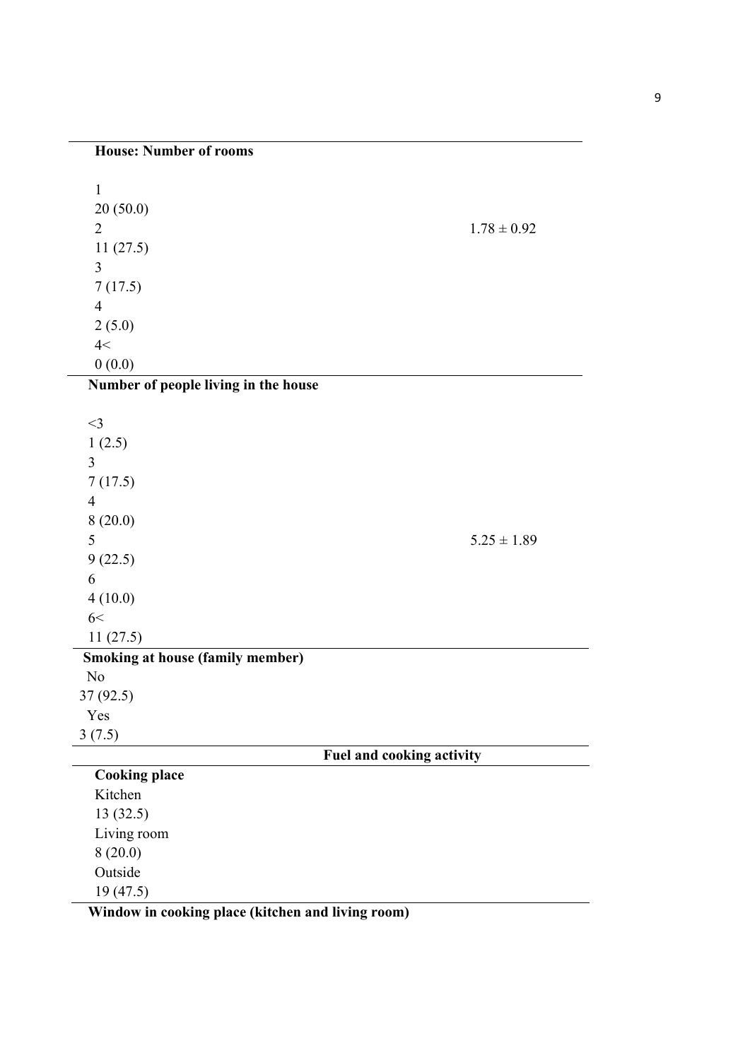1 20 (50.0) 2  $1.78 \pm 0.92$ 11 (27.5) 3 7 (17.5) 4 2 (5.0)  $4<$  $0(0.0)$ **Number of people living in the house** 

| $<$ 3                                   |                           |
|-----------------------------------------|---------------------------|
| 1(2.5)                                  |                           |
| 3                                       |                           |
| 7(17.5)                                 |                           |
| $\overline{4}$                          |                           |
| 8(20.0)                                 |                           |
| 5                                       | $5.25 \pm 1.89$           |
|                                         |                           |
| 9(22.5)                                 |                           |
| 6                                       |                           |
| 4(10.0)                                 |                           |
| 6<                                      |                           |
| 11(27.5)                                |                           |
| <b>Smoking at house (family member)</b> |                           |
| N <sub>o</sub>                          |                           |
| 37(92.5)                                |                           |
| Yes                                     |                           |
| 3(7.5)                                  |                           |
|                                         | Fuel and cooking activity |
| <b>Cooking place</b>                    |                           |
| Kitchen                                 |                           |
| 13(32.5)                                |                           |
| Living room                             |                           |
| 8(20.0)                                 |                           |
| Outside                                 |                           |
| 19(47.5)                                |                           |

**Window in cooking place (kitchen and living room)**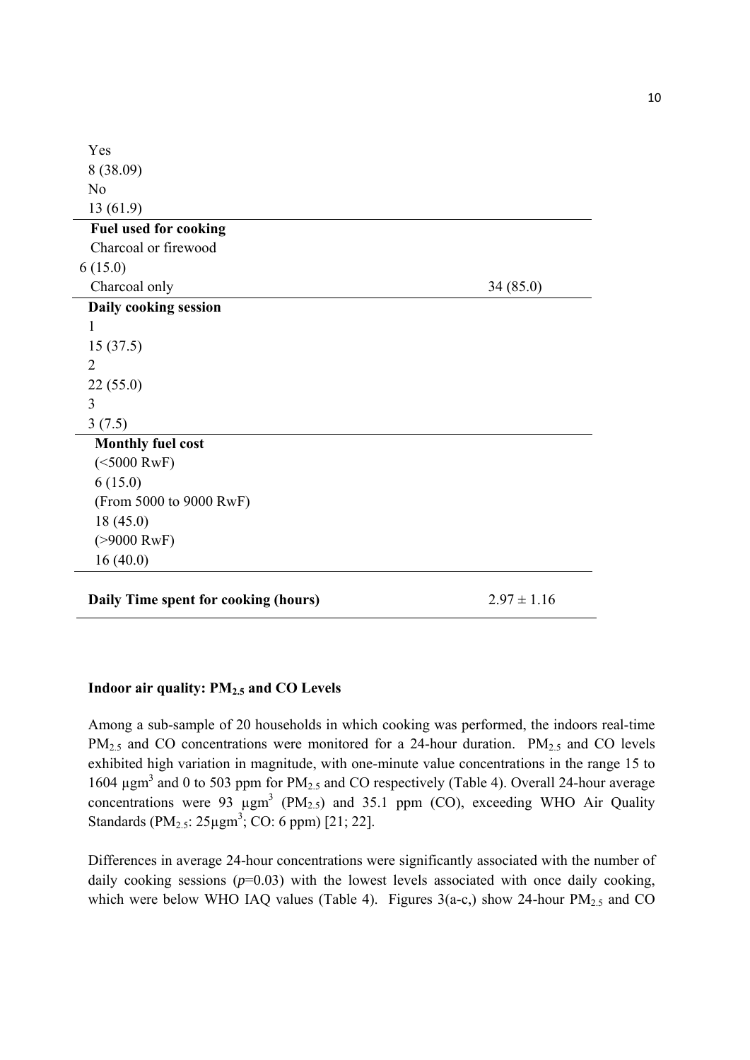| Yes                                  |                 |
|--------------------------------------|-----------------|
| 8 (38.09)                            |                 |
| N <sub>o</sub>                       |                 |
| 13(61.9)                             |                 |
| <b>Fuel used for cooking</b>         |                 |
| Charcoal or firewood                 |                 |
| 6(15.0)                              |                 |
| Charcoal only                        | 34(85.0)        |
| Daily cooking session                |                 |
| $\mathbf{1}$                         |                 |
| 15(37.5)                             |                 |
| $\overline{2}$                       |                 |
| 22(55.0)                             |                 |
| 3                                    |                 |
| 3(7.5)                               |                 |
| <b>Monthly fuel cost</b>             |                 |
| $(<5000$ RwF)                        |                 |
| 6(15.0)                              |                 |
| (From 5000 to 9000 RwF)              |                 |
| 18(45.0)                             |                 |
| $( > 9000$ RwF)                      |                 |
| 16(40.0)                             |                 |
|                                      |                 |
| Daily Time spent for cooking (hours) | $2.97 \pm 1.16$ |

## **Indoor air quality: PM2.5 and CO Levels**

Among a sub-sample of 20 households in which cooking was performed, the indoors real-time  $PM_{2.5}$  and CO concentrations were monitored for a 24-hour duration.  $PM_{2.5}$  and CO levels exhibited high variation in magnitude, with one-minute value concentrations in the range 15 to 1604  $\mu$ gm<sup>3</sup> and 0 to 503 ppm for PM<sub>2.5</sub> and CO respectively (Table 4). Overall 24-hour average concentrations were 93  $\mu$ gm<sup>3</sup> (PM<sub>2.5</sub>) and 35.1 ppm (CO), exceeding WHO Air Quality Standards  $(PM_{2.5}: 25\mu\text{gm}^3; CO: 6\text{ ppm})$  [21; 22].

Differences in average 24-hour concentrations were significantly associated with the number of daily cooking sessions  $(p=0.03)$  with the lowest levels associated with once daily cooking, which were below WHO IAQ values (Table 4). Figures  $3(a-c)$ , show 24-hour PM<sub>2.5</sub> and CO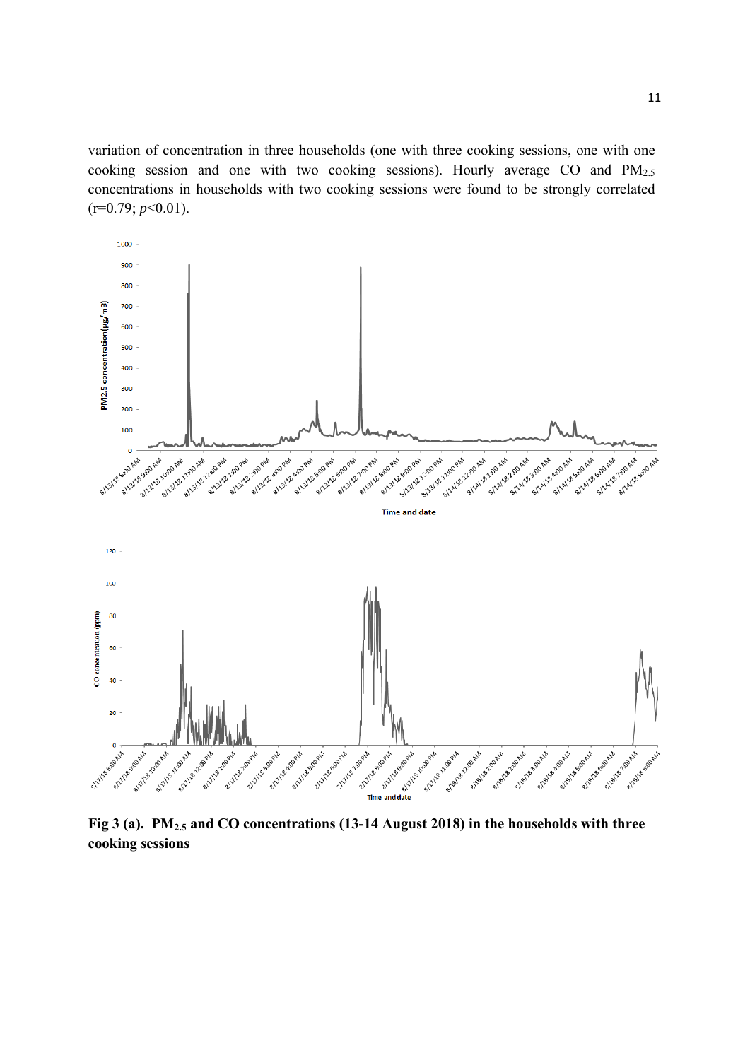variation of concentration in three households (one with three cooking sessions, one with one cooking session and one with two cooking sessions). Hourly average CO and PM2.5 concentrations in households with two cooking sessions were found to be strongly correlated (r=0.79; *p*<0.01).



**cooking sessions**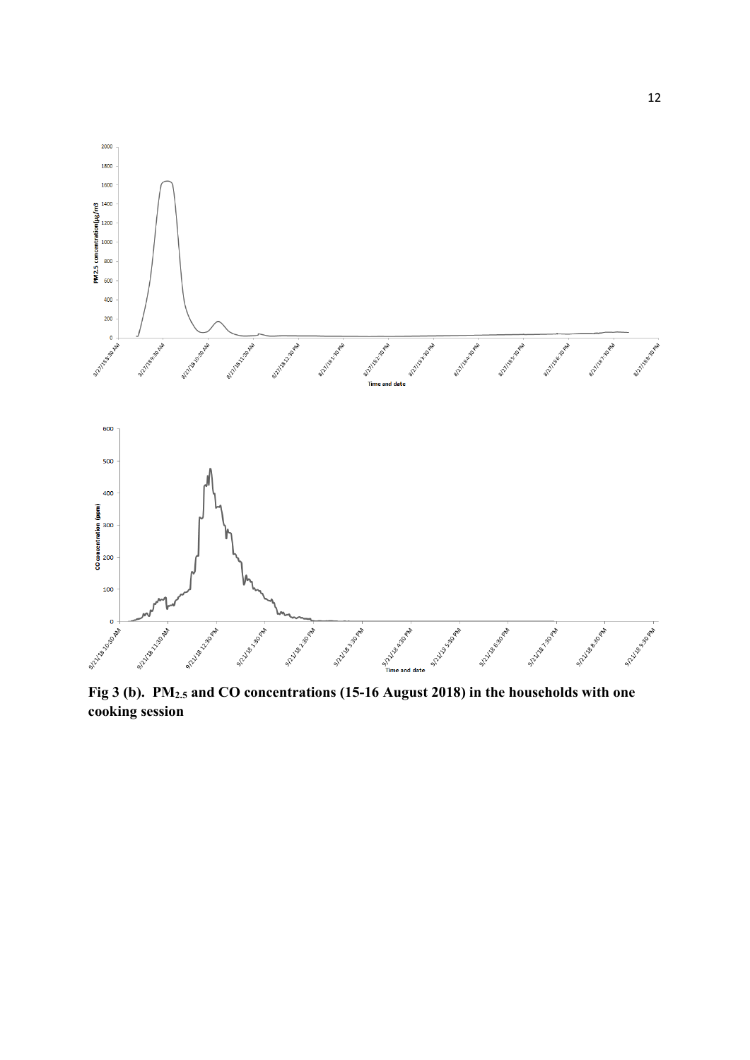

**Fig 3 (b). PM2.5 and CO concentrations (15-16 August 2018) in the households with one cooking session**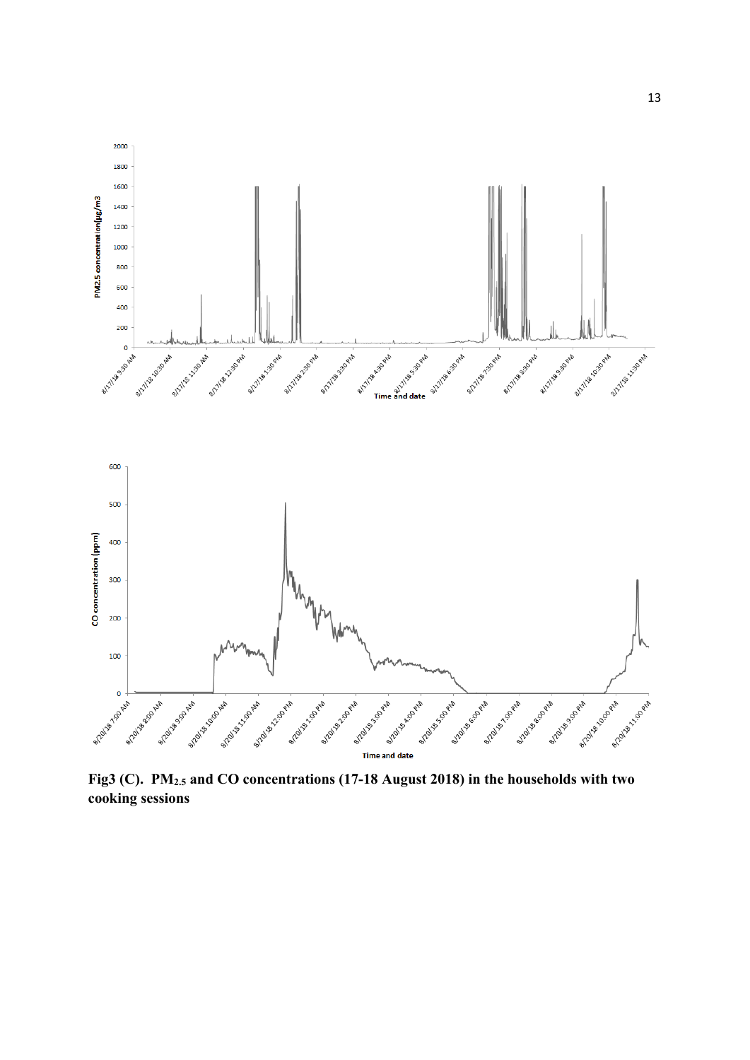

**Fig3 (C). PM2.5 and CO concentrations (17-18 August 2018) in the households with two cooking sessions**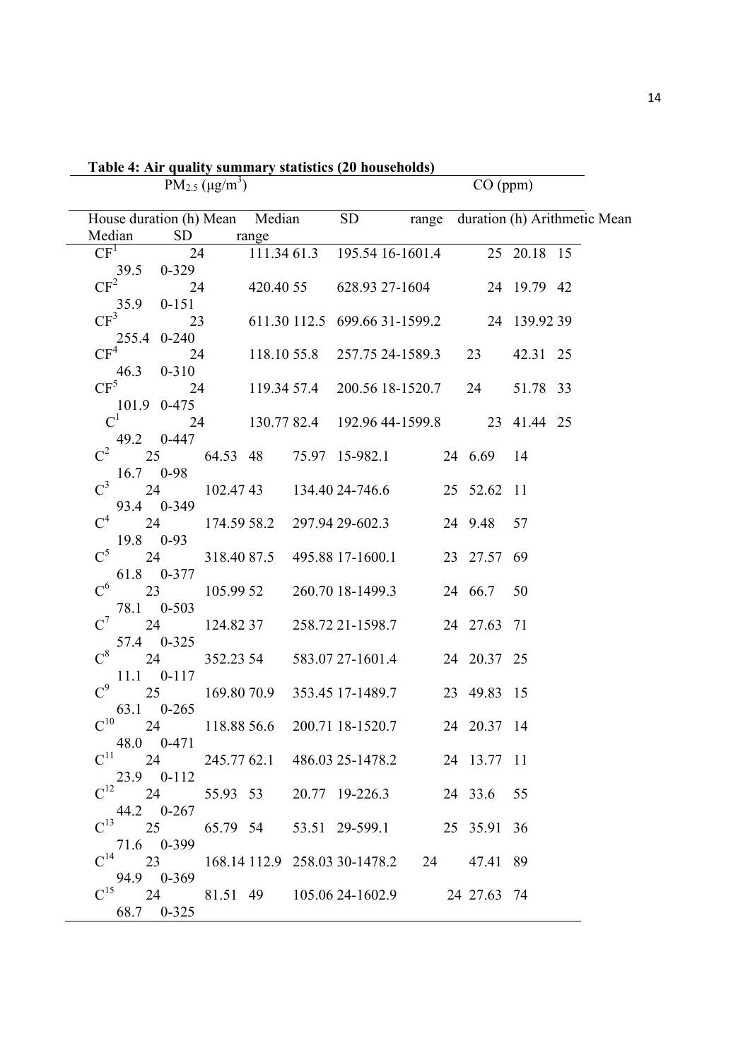|                                                                     | $PM_{2.5} (\mu g/m^3)$ |       |                                               |             | CO (ppm) |                                       |                                       |
|---------------------------------------------------------------------|------------------------|-------|-----------------------------------------------|-------------|----------|---------------------------------------|---------------------------------------|
| House duration (h) Mean Median                                      |                        |       |                                               |             |          |                                       | SD range duration (h) Arithmetic Mean |
| Median<br><b>SD</b>                                                 |                        | range |                                               |             |          |                                       |                                       |
| CF <sup>1</sup><br>24                                               |                        |       | 111.34 61.3 195.54 16-1601.4                  |             |          | $\overline{25}$ $\overline{20.18}$ 15 |                                       |
| 39.5 0-329<br>$CF^{2}$                                              | 24                     |       | 420.40 55 628.93 27-1604 24 19.79 42          |             |          |                                       |                                       |
| 35.9<br>$0 - 151$<br>$CF^3$                                         |                        |       | 23 611.30 112.5 699.66 31-1599.2 24 139.92 39 |             |          |                                       |                                       |
| 255.4 0-240                                                         |                        |       |                                               |             |          |                                       |                                       |
| $\mathrm{CF}^4$<br>$46.3$ 0-310                                     |                        |       | 24 118.10 55.8 257.75 24-1589.3 23            |             |          | 42.31 25                              |                                       |
| $CF^5$                                                              |                        |       | 24 119.34 57.4 200.56 18-1520.7 24            |             |          | 51.78 33                              |                                       |
| 101.9 0-475<br>$C^1$<br>24                                          |                        |       | 130.77 82.4 192.96 44-1599.8 23 41.44 25      |             |          |                                       |                                       |
| 49.2 0-447                                                          |                        |       |                                               |             |          |                                       |                                       |
| $C^2$ 25 64.53 48 75.97 15-982.1 24 6.69 14<br>$16.7$ 0-98          |                        |       |                                               |             |          |                                       |                                       |
| $C^3$                                                               |                        |       | 24 102.47 43 134.40 24-746.6 25 52.62 11      |             |          |                                       |                                       |
| 93.4 0-349<br>$C^4$                                                 |                        |       | 24 174.59 58.2 297.94 29-602.3                | 24 9.48     |          | 57                                    |                                       |
| 19.8 0-93<br>$C^5$                                                  |                        |       |                                               |             |          |                                       |                                       |
| 24<br>61.8 0-377                                                    |                        |       | 318.40 87.5 495.88 17-1600.1 23 27.57 69      |             |          |                                       |                                       |
| $\mathrm{C}^6$<br>23<br>78.1 0-503                                  |                        |       | 105.99 52 260.70 18-1499.3                    | 24 66.7 50  |          |                                       |                                       |
| $C^7$<br>24                                                         |                        |       | 124.82 37 258.72 21-1598.7                    | 24 27.63 71 |          |                                       |                                       |
| 57.4 0-325<br>$C^8$<br>24                                           |                        |       | 352.23 54 583.07 27-1601.4                    | 24 20.37 25 |          |                                       |                                       |
| $11.1$ 0-117<br>$C^9$<br>25                                         |                        |       | 169.80 70.9 353.45 17-1489.7                  | 23 49.83 15 |          |                                       |                                       |
| 63.1 0-265                                                          |                        |       |                                               |             |          |                                       |                                       |
| $\rm C^{10}$<br>24<br>48.0 0-471                                    |                        |       | 118.88 56.6 200.71 18-1520.7 24 20.37 14      |             |          |                                       |                                       |
| $C^{11}$ 24 245.77 62.1 486.03 25-1478.2 24 13.77 11                |                        |       |                                               |             |          |                                       |                                       |
| 23.9 0-112<br>$C^{12}$ 24 55.93 53 20.77 19-226.3 24 33.6 55        |                        |       |                                               |             |          |                                       |                                       |
| 44.2 0-267<br>$C^{13}$ 25 65.79 54 53.51 29-599.1 25 35.91 36       |                        |       |                                               |             |          |                                       |                                       |
| 71.6 0-399                                                          |                        |       |                                               |             |          |                                       |                                       |
| $C^{14}$ 23 168.14 112.9 258.03 30-1478.2 24 47.41 89<br>94.9 0-369 |                        |       |                                               |             |          |                                       |                                       |
| $C^{15}$ 24 81.51 49 105.06 24-1602.9 24 27.63 74                   |                        |       |                                               |             |          |                                       |                                       |
| 68.7 0-325                                                          |                        |       |                                               |             |          |                                       |                                       |

**Table 4: Air quality summary statistics (20 households)**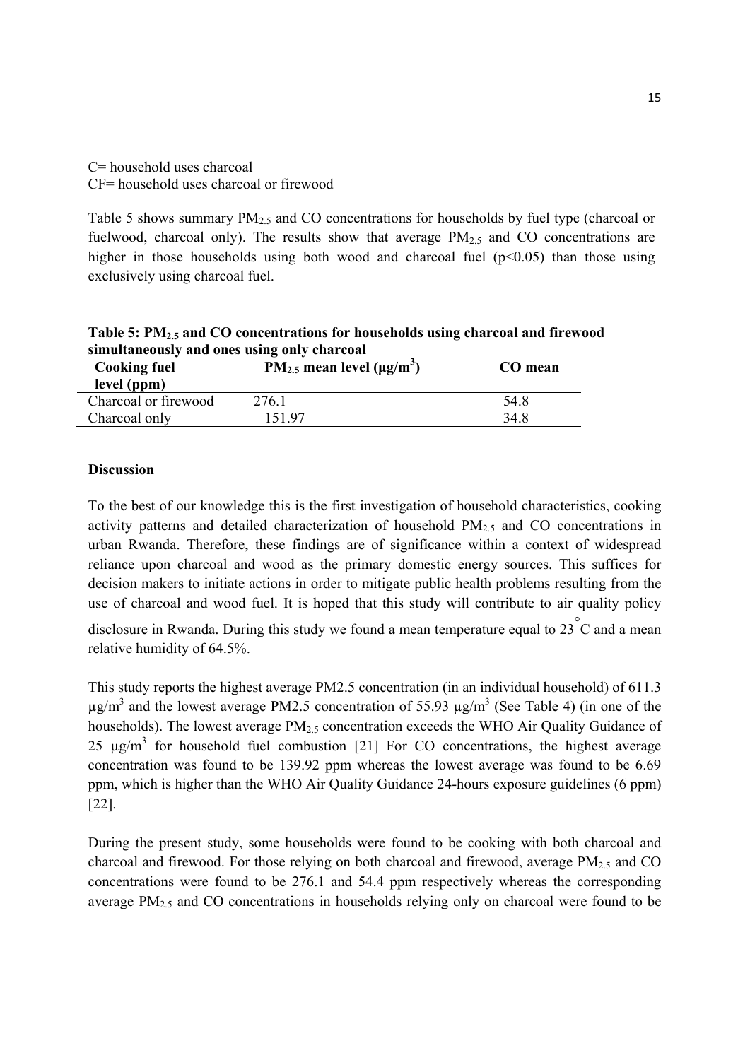## C= household uses charcoal CF= household uses charcoal or firewood

Table 5 shows summary  $PM_{2.5}$  and CO concentrations for households by fuel type (charcoal or fuelwood, charcoal only). The results show that average  $PM<sub>2.5</sub>$  and CO concentrations are higher in those households using both wood and charcoal fuel  $(p<0.05)$  than those using exclusively using charcoal fuel.

| simultaneously and ones using only charcoal |         |      |  |  |  |
|---------------------------------------------|---------|------|--|--|--|
| <b>Cooking fuel</b>                         | CO mean |      |  |  |  |
| level (ppm)                                 |         |      |  |  |  |
| Charcoal or firewood                        | 276.1   | 54.8 |  |  |  |
| Charcoal only                               | 151.97  | 34.8 |  |  |  |

**Table 5: PM2.5 and CO concentrations for households using charcoal and firewood simultaneously and ones using only charcoal** 

#### **Discussion**

To the best of our knowledge this is the first investigation of household characteristics, cooking activity patterns and detailed characterization of household PM2.5 and CO concentrations in urban Rwanda. Therefore, these findings are of significance within a context of widespread reliance upon charcoal and wood as the primary domestic energy sources. This suffices for decision makers to initiate actions in order to mitigate public health problems resulting from the use of charcoal and wood fuel. It is hoped that this study will contribute to air quality policy

disclosure in Rwanda. During this study we found a mean temperature equal to 23 $\degree$ C and a mean relative humidity of 64.5%.

This study reports the highest average PM2.5 concentration (in an individual household) of 611.3  $\mu$ g/m<sup>3</sup> and the lowest average PM2.5 concentration of 55.93  $\mu$ g/m<sup>3</sup> (See Table 4) (in one of the households). The lowest average PM<sub>2.5</sub> concentration exceeds the WHO Air Quality Guidance of 25  $\mu$ g/m<sup>3</sup> for household fuel combustion [21] For CO concentrations, the highest average concentration was found to be 139.92 ppm whereas the lowest average was found to be 6.69 ppm, which is higher than the WHO Air Quality Guidance 24-hours exposure guidelines (6 ppm) [22].

During the present study, some households were found to be cooking with both charcoal and charcoal and firewood. For those relying on both charcoal and firewood, average  $PM_{2.5}$  and CO concentrations were found to be 276.1 and 54.4 ppm respectively whereas the corresponding average PM2.5 and CO concentrations in households relying only on charcoal were found to be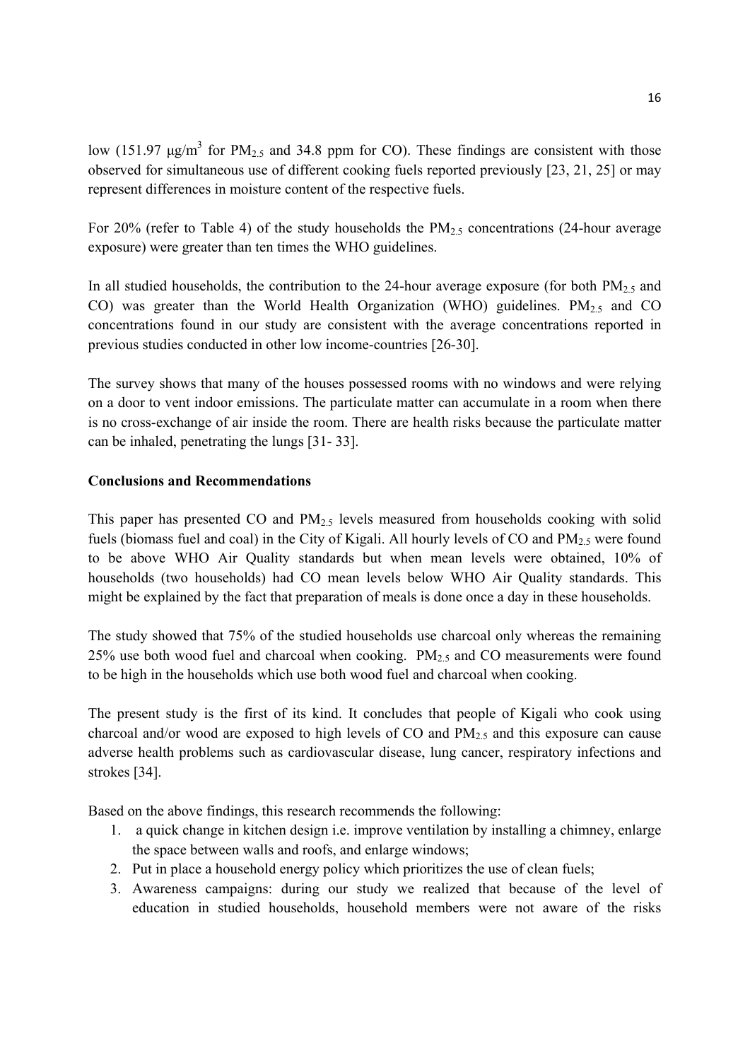low (151.97  $\mu$ g/m<sup>3</sup> for PM<sub>2.5</sub> and 34.8 ppm for CO). These findings are consistent with those observed for simultaneous use of different cooking fuels reported previously [23, 21, 25] or may represent differences in moisture content of the respective fuels.

For 20% (refer to Table 4) of the study households the  $PM_{2.5}$  concentrations (24-hour average exposure) were greater than ten times the WHO guidelines.

In all studied households, the contribution to the 24-hour average exposure (for both  $PM<sub>2.5</sub>$  and CO) was greater than the World Health Organization (WHO) guidelines.  $PM<sub>2.5</sub>$  and CO concentrations found in our study are consistent with the average concentrations reported in previous studies conducted in other low income-countries [26-30].

The survey shows that many of the houses possessed rooms with no windows and were relying on a door to vent indoor emissions. The particulate matter can accumulate in a room when there is no cross-exchange of air inside the room. There are health risks because the particulate matter can be inhaled, penetrating the lungs [31- 33].

#### **Conclusions and Recommendations**

This paper has presented CO and  $PM<sub>2.5</sub>$  levels measured from households cooking with solid fuels (biomass fuel and coal) in the City of Kigali. All hourly levels of CO and  $PM<sub>2.5</sub>$  were found to be above WHO Air Quality standards but when mean levels were obtained, 10% of households (two households) had CO mean levels below WHO Air Quality standards. This might be explained by the fact that preparation of meals is done once a day in these households.

The study showed that 75% of the studied households use charcoal only whereas the remaining 25% use both wood fuel and charcoal when cooking.  $PM_{2.5}$  and CO measurements were found to be high in the households which use both wood fuel and charcoal when cooking.

The present study is the first of its kind. It concludes that people of Kigali who cook using charcoal and/or wood are exposed to high levels of CO and  $PM_{2.5}$  and this exposure can cause adverse health problems such as cardiovascular disease, lung cancer, respiratory infections and strokes [34].

Based on the above findings, this research recommends the following:

- 1. a quick change in kitchen design i.e. improve ventilation by installing a chimney, enlarge the space between walls and roofs, and enlarge windows;
- 2. Put in place a household energy policy which prioritizes the use of clean fuels;
- 3. Awareness campaigns: during our study we realized that because of the level of education in studied households, household members were not aware of the risks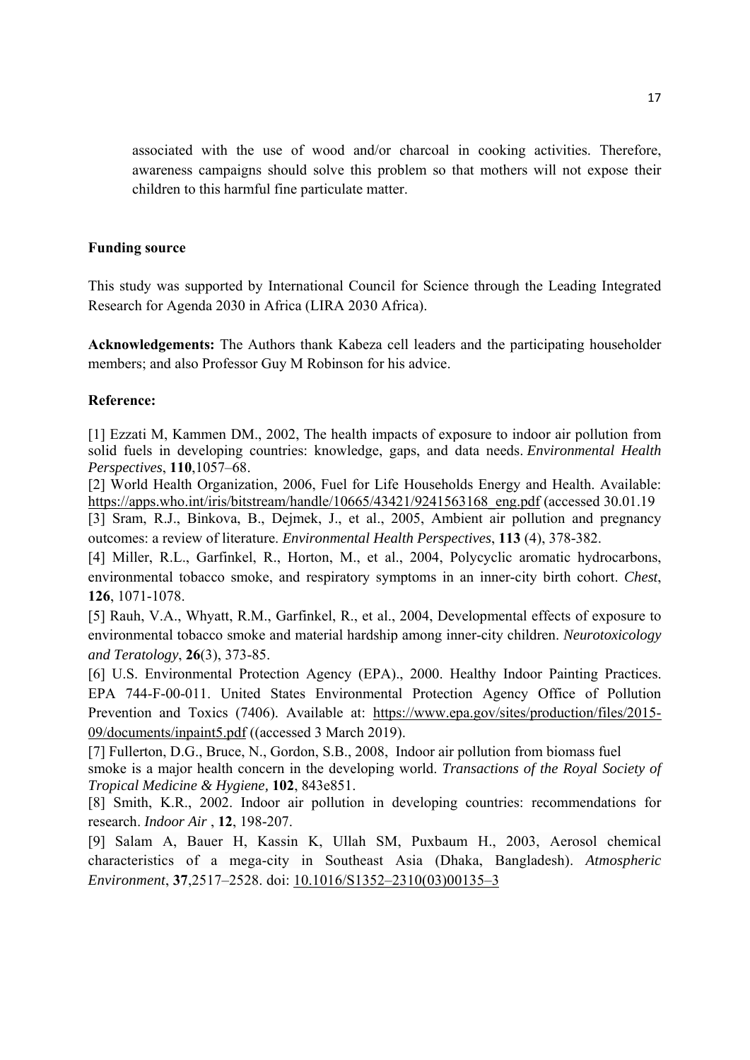associated with the use of wood and/or charcoal in cooking activities. Therefore, awareness campaigns should solve this problem so that mothers will not expose their children to this harmful fine particulate matter.

#### **Funding source**

This study was supported by International Council for Science through the Leading Integrated Research for Agenda 2030 in Africa (LIRA 2030 Africa).

**Acknowledgements:** The Authors thank Kabeza cell leaders and the participating householder members; and also Professor Guy M Robinson for his advice.

#### **Reference:**

[1] Ezzati M, Kammen DM., 2002, The health impacts of exposure to indoor air pollution from solid fuels in developing countries: knowledge, gaps, and data needs. *Environmental Health Perspectives*, **110**,1057–68.

[2] World Health Organization, 2006, Fuel for Life Households Energy and Health. Available: https://apps.who.int/iris/bitstream/handle/10665/43421/9241563168 eng.pdf (accessed 30.01.19

[3] Sram, R.J., Binkova, B., Dejmek, J., et al., 2005, Ambient air pollution and pregnancy outcomes: a review of literature. *Environmental Health Perspectives*, **113** (4), 378-382.

[4] Miller, R.L., Garfinkel, R., Horton, M., et al., 2004, Polycyclic aromatic hydrocarbons, environmental tobacco smoke, and respiratory symptoms in an inner-city birth cohort. *Chest*, **126**, 1071-1078.

[5] Rauh, V.A., Whyatt, R.M., Garfinkel, R., et al., 2004, Developmental effects of exposure to environmental tobacco smoke and material hardship among inner-city children. *Neurotoxicology and Teratology*, **26**(3), 373-85.

[6] U.S. Environmental Protection Agency (EPA)., 2000. Healthy Indoor Painting Practices. EPA 744-F-00-011. United States Environmental Protection Agency Office of Pollution Prevention and Toxics (7406). Available at: https://www.epa.gov/sites/production/files/2015-09/documents/inpaint5.pdf ((accessed 3 March 2019).

[7] Fullerton, D.G., Bruce, N., Gordon, S.B., 2008, Indoor air pollution from biomass fuel smoke is a major health concern in the developing world. *Transactions of the Royal Society of Tropical Medicine & Hygiene,* **102**, 843e851.

[8] Smith, K.R., 2002. Indoor air pollution in developing countries: recommendations for research. *Indoor Air* , **12**, 198-207.

[9] Salam A, Bauer H, Kassin K, Ullah SM, Puxbaum H., 2003, Aerosol chemical characteristics of a mega-city in Southeast Asia (Dhaka, Bangladesh). *Atmospheric Environment*, **37**,2517–2528. doi: 10.1016/S1352–2310(03)00135–3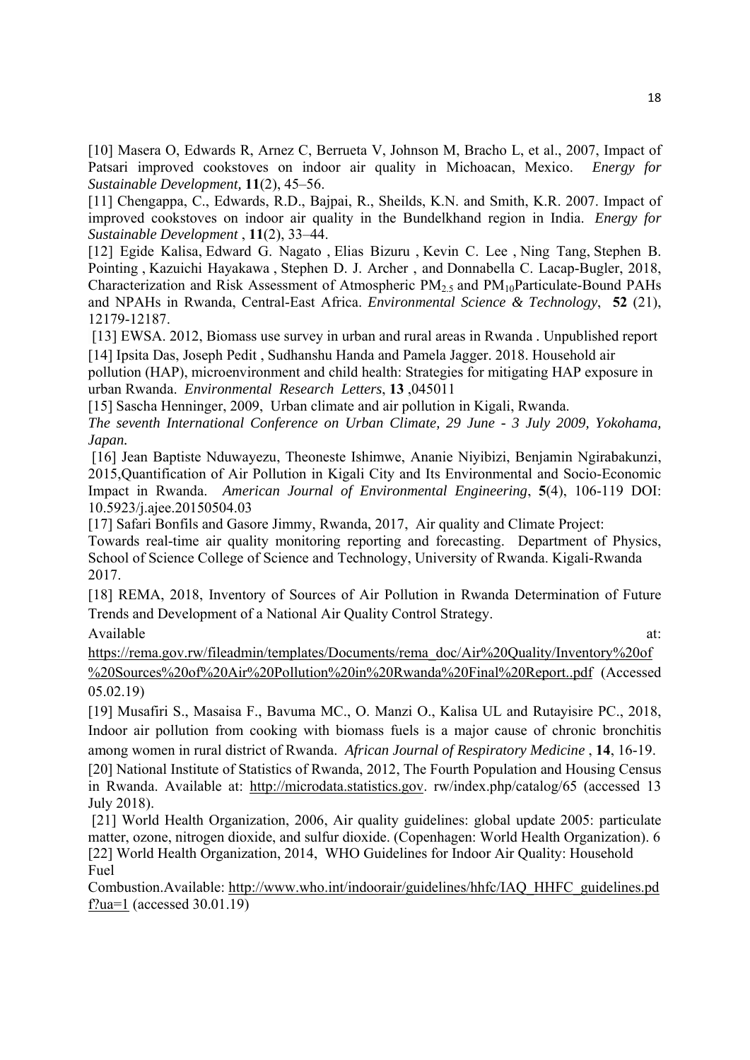[10] Masera O, Edwards R, Arnez C, Berrueta V, Johnson M, Bracho L, et al., 2007, Impact of Patsari improved cookstoves on indoor air quality in Michoacan, Mexico. *Energy for Sustainable Development,* **11**(2), 45–56.

[11] Chengappa, C., Edwards, R.D., Bajpai, R., Sheilds, K.N. and Smith, K.R. 2007. Impact of improved cookstoves on indoor air quality in the Bundelkhand region in India. *Energy for Sustainable Development* , **11**(2), 33–44.

[12] Egide Kalisa, Edward G. Nagato , Elias Bizuru , Kevin C. Lee , Ning Tang, Stephen B. Pointing , Kazuichi Hayakawa , Stephen D. J. Archer , and Donnabella C. Lacap-Bugler, 2018, Characterization and Risk Assessment of Atmospheric  $PM_{2.5}$  and  $PM_{10}$ Particulate-Bound PAHs and NPAHs in Rwanda, Central-East Africa. *Environmental Science & Technology*, **52** (21), 12179-12187.

 [13] EWSA. 2012, Biomass use survey in urban and rural areas in Rwanda *.* Unpublished report [14] Ipsita Das, Joseph Pedit , Sudhanshu Handa and Pamela Jagger. 2018. Household air

pollution (HAP), microenvironment and child health: Strategies for mitigating HAP exposure in urban Rwanda. *Environmental Research Letters*, **13** ,045011

[15] Sascha Henninger, 2009, Urban climate and air pollution in Kigali, Rwanda.

*The seventh International Conference on Urban Climate, 29 June - 3 July 2009, Yokohama, Japan.* 

 [16] Jean Baptiste Nduwayezu, Theoneste Ishimwe, Ananie Niyibizi, Benjamin Ngirabakunzi, 2015,Quantification of Air Pollution in Kigali City and Its Environmental and Socio-Economic Impact in Rwanda. *American Journal of Environmental Engineering*, **5**(4), 106-119 DOI: 10.5923/j.ajee.20150504.03

[17] Safari Bonfils and Gasore Jimmy, Rwanda, 2017, Air quality and Climate Project: Towards real-time air quality monitoring reporting and forecasting. Department of Physics, School of Science College of Science and Technology, University of Rwanda. Kigali-Rwanda 2017.

[18] REMA, 2018, Inventory of Sources of Air Pollution in Rwanda Determination of Future Trends and Development of a National Air Quality Control Strategy.

Available at:  $\overline{a}$  at:

https://rema.gov.rw/fileadmin/templates/Documents/rema\_doc/Air%20Quality/Inventory%20of %20Sources%20of%20Air%20Pollution%20in%20Rwanda%20Final%20Report..pdf (Accessed 05.02.19)

[19] Musafiri S., Masaisa F., Bavuma MC., O. Manzi O., Kalisa UL and Rutayisire PC., 2018, Indoor air pollution from cooking with biomass fuels is a major cause of chronic bronchitis among women in rural district of Rwanda. *African Journal of Respiratory Medicine* , **14**, 16-19.

[20] National Institute of Statistics of Rwanda, 2012, The Fourth Population and Housing Census in Rwanda. Available at: http://microdata.statistics.gov. rw/index.php/catalog/65 (accessed 13 July 2018).

 [21] World Health Organization, 2006, Air quality guidelines: global update 2005: particulate matter, ozone, nitrogen dioxide, and sulfur dioxide. (Copenhagen: World Health Organization). 6 [22] World Health Organization, 2014, WHO Guidelines for Indoor Air Quality: Household Fuel

Combustion.Available: http://www.who.int/indoorair/guidelines/hhfc/IAQ\_HHFC\_guidelines.pd f?ua=1 (accessed 30.01.19)